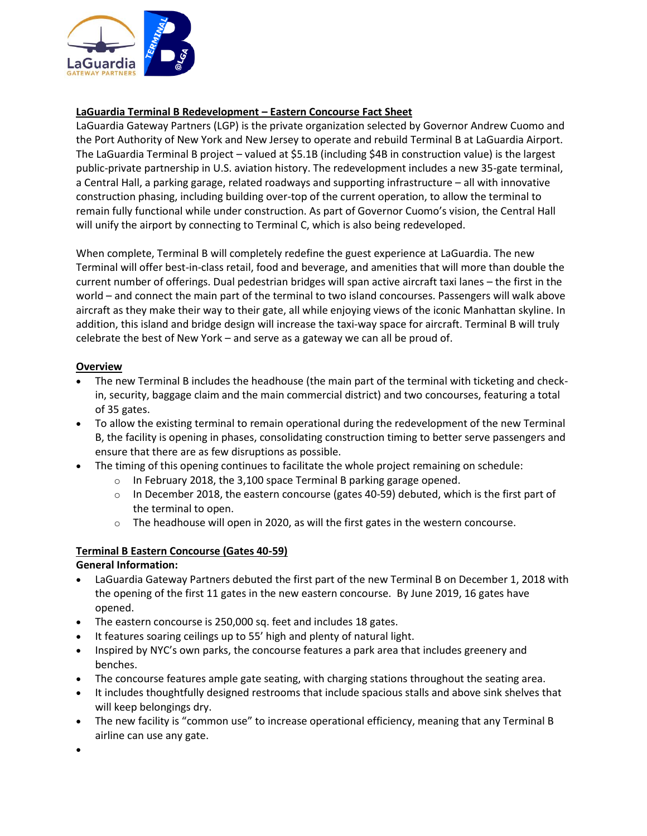

# **LaGuardia Terminal B Redevelopment – Eastern Concourse Fact Sheet**

LaGuardia Gateway Partners (LGP) is the private organization selected by Governor Andrew Cuomo and the Port Authority of New York and New Jersey to operate and rebuild Terminal B at LaGuardia Airport. The LaGuardia Terminal B project – valued at \$5.1B (including \$4B in construction value) is the largest public-private partnership in U.S. aviation history. The redevelopment includes a new 35-gate terminal, a Central Hall, a parking garage, related roadways and supporting infrastructure – all with innovative construction phasing, including building over-top of the current operation, to allow the terminal to remain fully functional while under construction. As part of Governor Cuomo's vision, the Central Hall will unify the airport by connecting to Terminal C, which is also being redeveloped.

When complete, Terminal B will completely redefine the guest experience at LaGuardia. The new Terminal will offer best-in-class retail, food and beverage, and amenities that will more than double the current number of offerings. Dual pedestrian bridges will span active aircraft taxi lanes – the first in the world – and connect the main part of the terminal to two island concourses. Passengers will walk above aircraft as they make their way to their gate, all while enjoying views of the iconic Manhattan skyline. In addition, this island and bridge design will increase the taxi-way space for aircraft. Terminal B will truly celebrate the best of New York – and serve as a gateway we can all be proud of.

### **Overview**

- The new Terminal B includes the headhouse (the main part of the terminal with ticketing and checkin, security, baggage claim and the main commercial district) and two concourses, featuring a total of 35 gates.
- To allow the existing terminal to remain operational during the redevelopment of the new Terminal B, the facility is opening in phases, consolidating construction timing to better serve passengers and ensure that there are as few disruptions as possible.
- The timing of this opening continues to facilitate the whole project remaining on schedule:
	- $\circ$  In February 2018, the 3,100 space Terminal B parking garage opened.
	- $\circ$  In December 2018, the eastern concourse (gates 40-59) debuted, which is the first part of the terminal to open.
	- $\circ$  The headhouse will open in 2020, as will the first gates in the western concourse.

### **Terminal B Eastern Concourse (Gates 40-59)**

### **General Information:**

- LaGuardia Gateway Partners debuted the first part of the new Terminal B on December 1, 2018 with the opening of the first 11 gates in the new eastern concourse. By June 2019, 16 gates have opened.
- The eastern concourse is 250,000 sq. feet and includes 18 gates.
- It features soaring ceilings up to 55' high and plenty of natural light.
- Inspired by NYC's own parks, the concourse features a park area that includes greenery and benches.
- The concourse features ample gate seating, with charging stations throughout the seating area.
- It includes thoughtfully designed restrooms that include spacious stalls and above sink shelves that will keep belongings dry.
- The new facility is "common use" to increase operational efficiency, meaning that any Terminal B airline can use any gate.
- •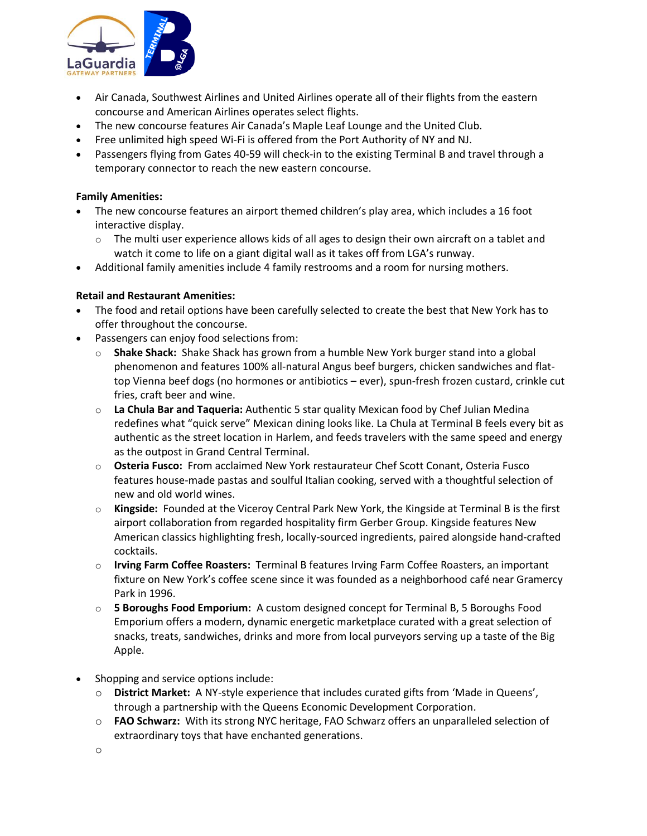

- Air Canada, Southwest Airlines and United Airlines operate all of their flights from the eastern concourse and American Airlines operates select flights.
- The new concourse features Air Canada's Maple Leaf Lounge and the United Club.
- Free unlimited high speed Wi-Fi is offered from the Port Authority of NY and NJ.
- Passengers flying from Gates 40-59 will check-in to the existing Terminal B and travel through a temporary connector to reach the new eastern concourse.

### **Family Amenities:**

- The new concourse features an airport themed children's play area, which includes a 16 foot interactive display.
	- $\circ$  The multi user experience allows kids of all ages to design their own aircraft on a tablet and watch it come to life on a giant digital wall as it takes off from LGA's runway.
- Additional family amenities include 4 family restrooms and a room for nursing mothers.

## **Retail and Restaurant Amenities:**

- The food and retail options have been carefully selected to create the best that New York has to offer throughout the concourse.
- Passengers can enjoy food selections from:
	- o **Shake Shack:** Shake Shack has grown from a humble New York burger stand into a global phenomenon and features 100% all-natural Angus beef burgers, chicken sandwiches and flattop Vienna beef dogs (no hormones or antibiotics – ever), spun-fresh frozen custard, crinkle cut fries, craft beer and wine.
	- o **La Chula Bar and Taqueria:** Authentic 5 star quality Mexican food by Chef Julian Medina redefines what "quick serve" Mexican dining looks like. La Chula at Terminal B feels every bit as authentic as the street location in Harlem, and feeds travelers with the same speed and energy as the outpost in Grand Central Terminal.
	- o **Osteria Fusco:** From acclaimed New York restaurateur Chef Scott Conant, Osteria Fusco features house-made pastas and soulful Italian cooking, served with a thoughtful selection of new and old world wines.
	- o **Kingside:** Founded at the Viceroy Central Park New York, the Kingside at Terminal B is the first airport collaboration from regarded hospitality firm Gerber Group. Kingside features New American classics highlighting fresh, locally-sourced ingredients, paired alongside hand-crafted cocktails.
	- o **Irving Farm Coffee Roasters:** Terminal B features Irving Farm Coffee Roasters, an important fixture on New York's coffee scene since it was founded as a neighborhood café near Gramercy Park in 1996.
	- o **5 Boroughs Food Emporium:** A custom designed concept for Terminal B, 5 Boroughs Food Emporium offers a modern, dynamic energetic marketplace curated with a great selection of snacks, treats, sandwiches, drinks and more from local purveyors serving up a taste of the Big Apple.
- Shopping and service options include:
	- o **District Market:** A NY-style experience that includes curated gifts from 'Made in Queens', through a partnership with the Queens Economic Development Corporation.
	- o **FAO Schwarz:** With its strong NYC heritage, FAO Schwarz offers an unparalleled selection of extraordinary toys that have enchanted generations.